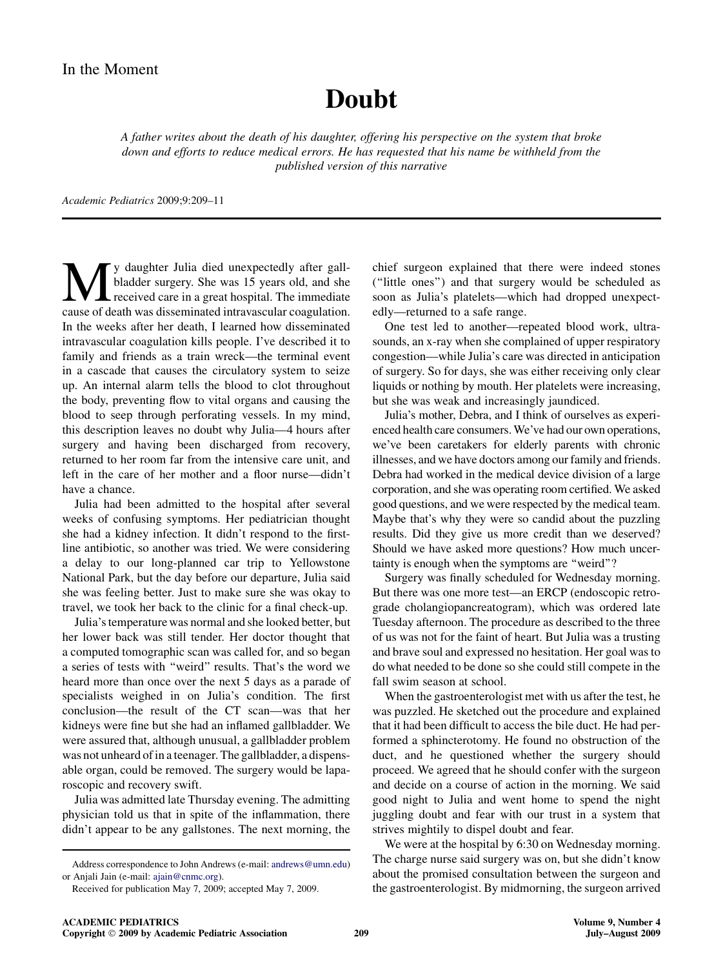## Doubt

A father writes about the death of his daughter, offering his perspective on the system that broke down and efforts to reduce medical errors. He has requested that his name be withheld from the published version of this narrative

Academic Pediatrics 2009;9:209–11

y daughter Julia died unexpectedly after gallbladder surgery. She was 15 years old, and she received care in a great hospital. The immediate cause of death was disseminated intravascular coagulation. In the weeks after her death, I learned how disseminated intravascular coagulation kills people. I've described it to family and friends as a train wreck—the terminal event in a cascade that causes the circulatory system to seize up. An internal alarm tells the blood to clot throughout the body, preventing flow to vital organs and causing the blood to seep through perforating vessels. In my mind, this description leaves no doubt why Julia—4 hours after surgery and having been discharged from recovery, returned to her room far from the intensive care unit, and left in the care of her mother and a floor nurse—didn't have a chance.

Julia had been admitted to the hospital after several weeks of confusing symptoms. Her pediatrician thought she had a kidney infection. It didn't respond to the firstline antibiotic, so another was tried. We were considering a delay to our long-planned car trip to Yellowstone National Park, but the day before our departure, Julia said she was feeling better. Just to make sure she was okay to travel, we took her back to the clinic for a final check-up.

Julia's temperature was normal and she looked better, but her lower back was still tender. Her doctor thought that a computed tomographic scan was called for, and so began a series of tests with ''weird'' results. That's the word we heard more than once over the next 5 days as a parade of specialists weighed in on Julia's condition. The first conclusion—the result of the CT scan—was that her kidneys were fine but she had an inflamed gallbladder. We were assured that, although unusual, a gallbladder problem was not unheard of in a teenager. The gallbladder, a dispensable organ, could be removed. The surgery would be laparoscopic and recovery swift.

Julia was admitted late Thursday evening. The admitting physician told us that in spite of the inflammation, there didn't appear to be any gallstones. The next morning, the chief surgeon explained that there were indeed stones (''little ones'') and that surgery would be scheduled as soon as Julia's platelets—which had dropped unexpectedly—returned to a safe range.

One test led to another—repeated blood work, ultrasounds, an x-ray when she complained of upper respiratory congestion—while Julia's care was directed in anticipation of surgery. So for days, she was either receiving only clear liquids or nothing by mouth. Her platelets were increasing, but she was weak and increasingly jaundiced.

Julia's mother, Debra, and I think of ourselves as experienced health care consumers. We've had our own operations, we've been caretakers for elderly parents with chronic illnesses, and we have doctors among our family and friends. Debra had worked in the medical device division of a large corporation, and she was operating room certified. We asked good questions, and we were respected by the medical team. Maybe that's why they were so candid about the puzzling results. Did they give us more credit than we deserved? Should we have asked more questions? How much uncertainty is enough when the symptoms are ''weird''?

Surgery was finally scheduled for Wednesday morning. But there was one more test—an ERCP (endoscopic retrograde cholangiopancreatogram), which was ordered late Tuesday afternoon. The procedure as described to the three of us was not for the faint of heart. But Julia was a trusting and brave soul and expressed no hesitation. Her goal was to do what needed to be done so she could still compete in the fall swim season at school.

When the gastroenterologist met with us after the test, he was puzzled. He sketched out the procedure and explained that it had been difficult to access the bile duct. He had performed a sphincterotomy. He found no obstruction of the duct, and he questioned whether the surgery should proceed. We agreed that he should confer with the surgeon and decide on a course of action in the morning. We said good night to Julia and went home to spend the night juggling doubt and fear with our trust in a system that strives mightily to dispel doubt and fear.

We were at the hospital by 6:30 on Wednesday morning. The charge nurse said surgery was on, but she didn't know about the promised consultation between the surgeon and the gastroenterologist. By midmorning, the surgeon arrived

Address correspondence to John Andrews (e-mail: [andrews@umn.edu\)](http://andrews@umn.edu) or Anjali Jain (e-mail: [ajain@cnmc.org\)](http://ajain@cnmc.org).

Received for publication May 7, 2009; accepted May 7, 2009.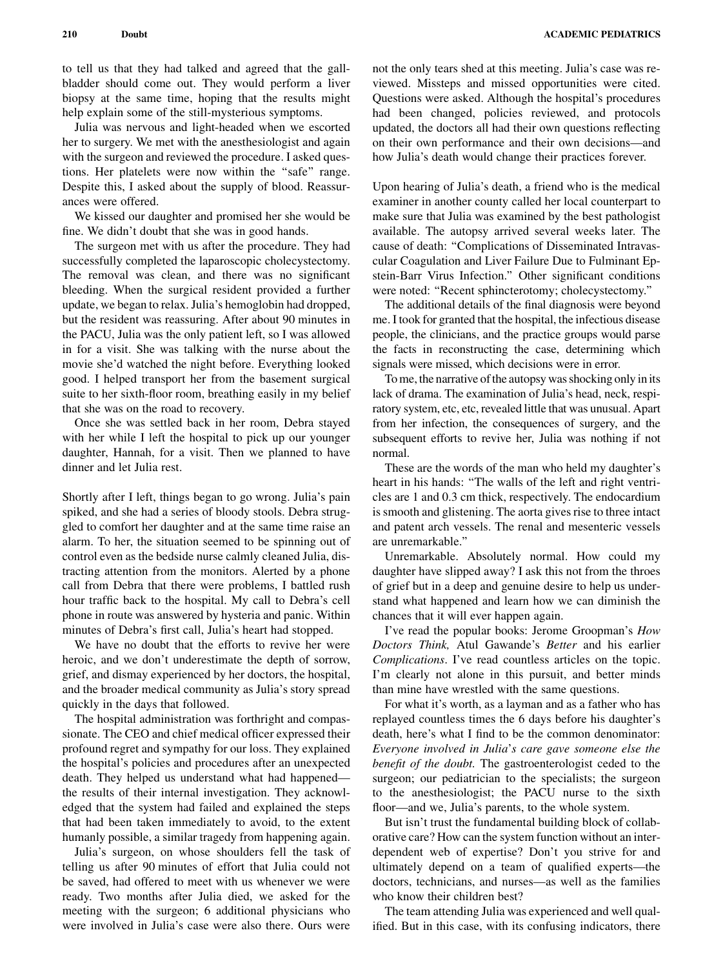to tell us that they had talked and agreed that the gallbladder should come out. They would perform a liver biopsy at the same time, hoping that the results might help explain some of the still-mysterious symptoms.

Julia was nervous and light-headed when we escorted her to surgery. We met with the anesthesiologist and again with the surgeon and reviewed the procedure. I asked questions. Her platelets were now within the ''safe'' range. Despite this, I asked about the supply of blood. Reassurances were offered.

We kissed our daughter and promised her she would be fine. We didn't doubt that she was in good hands.

The surgeon met with us after the procedure. They had successfully completed the laparoscopic cholecystectomy. The removal was clean, and there was no significant bleeding. When the surgical resident provided a further update, we began to relax. Julia's hemoglobin had dropped, but the resident was reassuring. After about 90 minutes in the PACU, Julia was the only patient left, so I was allowed in for a visit. She was talking with the nurse about the movie she'd watched the night before. Everything looked good. I helped transport her from the basement surgical suite to her sixth-floor room, breathing easily in my belief that she was on the road to recovery.

Once she was settled back in her room, Debra stayed with her while I left the hospital to pick up our younger daughter, Hannah, for a visit. Then we planned to have dinner and let Julia rest.

Shortly after I left, things began to go wrong. Julia's pain spiked, and she had a series of bloody stools. Debra struggled to comfort her daughter and at the same time raise an alarm. To her, the situation seemed to be spinning out of control even as the bedside nurse calmly cleaned Julia, distracting attention from the monitors. Alerted by a phone call from Debra that there were problems, I battled rush hour traffic back to the hospital. My call to Debra's cell phone in route was answered by hysteria and panic. Within minutes of Debra's first call, Julia's heart had stopped.

We have no doubt that the efforts to revive her were heroic, and we don't underestimate the depth of sorrow, grief, and dismay experienced by her doctors, the hospital, and the broader medical community as Julia's story spread quickly in the days that followed.

The hospital administration was forthright and compassionate. The CEO and chief medical officer expressed their profound regret and sympathy for our loss. They explained the hospital's policies and procedures after an unexpected death. They helped us understand what had happened the results of their internal investigation. They acknowledged that the system had failed and explained the steps that had been taken immediately to avoid, to the extent humanly possible, a similar tragedy from happening again.

Julia's surgeon, on whose shoulders fell the task of telling us after 90 minutes of effort that Julia could not be saved, had offered to meet with us whenever we were ready. Two months after Julia died, we asked for the meeting with the surgeon; 6 additional physicians who were involved in Julia's case were also there. Ours were

not the only tears shed at this meeting. Julia's case was reviewed. Missteps and missed opportunities were cited. Questions were asked. Although the hospital's procedures had been changed, policies reviewed, and protocols updated, the doctors all had their own questions reflecting on their own performance and their own decisions—and how Julia's death would change their practices forever.

Upon hearing of Julia's death, a friend who is the medical examiner in another county called her local counterpart to make sure that Julia was examined by the best pathologist available. The autopsy arrived several weeks later. The cause of death: ''Complications of Disseminated Intravascular Coagulation and Liver Failure Due to Fulminant Epstein-Barr Virus Infection.'' Other significant conditions were noted: ''Recent sphincterotomy; cholecystectomy.''

The additional details of the final diagnosis were beyond me. I took for granted that the hospital, the infectious disease people, the clinicians, and the practice groups would parse the facts in reconstructing the case, determining which signals were missed, which decisions were in error.

To me, the narrative of the autopsy was shocking only in its lack of drama. The examination of Julia's head, neck, respiratory system, etc, etc, revealed little that was unusual. Apart from her infection, the consequences of surgery, and the subsequent efforts to revive her, Julia was nothing if not normal.

These are the words of the man who held my daughter's heart in his hands: "The walls of the left and right ventricles are 1 and 0.3 cm thick, respectively. The endocardium is smooth and glistening. The aorta gives rise to three intact and patent arch vessels. The renal and mesenteric vessels are unremarkable.''

Unremarkable. Absolutely normal. How could my daughter have slipped away? I ask this not from the throes of grief but in a deep and genuine desire to help us understand what happened and learn how we can diminish the chances that it will ever happen again.

I've read the popular books: Jerome Groopman's How Doctors Think, Atul Gawande's Better and his earlier Complications. I've read countless articles on the topic. I'm clearly not alone in this pursuit, and better minds than mine have wrestled with the same questions.

For what it's worth, as a layman and as a father who has replayed countless times the 6 days before his daughter's death, here's what I find to be the common denominator: Everyone involved in Julia's care gave someone else the benefit of the doubt. The gastroenterologist ceded to the surgeon; our pediatrician to the specialists; the surgeon to the anesthesiologist; the PACU nurse to the sixth floor—and we, Julia's parents, to the whole system.

But isn't trust the fundamental building block of collaborative care? How can the system function without an interdependent web of expertise? Don't you strive for and ultimately depend on a team of qualified experts—the doctors, technicians, and nurses—as well as the families who know their children best?

The team attending Julia was experienced and well qualified. But in this case, with its confusing indicators, there